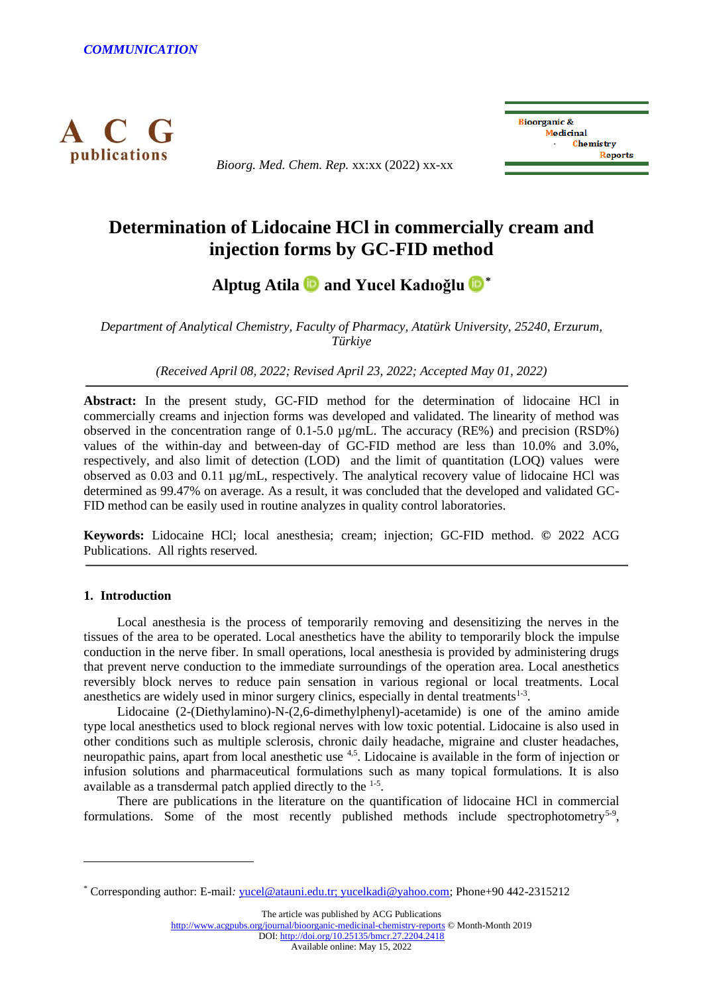

*Bioorg. Med. Chem. Rep.* xx:xx (2022) xx-xx



# **Determination of Lidocaine HCl in commercially cream and injection forms by GC-FID method**

# **Alptug Atila and Yucel Kadıoğlu [\\*](https://orcid.org/0000-0001-6590-7306)**

*Department of Analytical Chemistry, Faculty of Pharmacy, Atatürk University, 25240, Erzurum, Türkiye*

*(Received April 08, 2022; Revised April 23, 2022; Accepted May 01, 2022)*

**Abstract:** In the present study, GC-FID method for the determination of lidocaine HCl in commercially creams and injection forms was developed and validated. The linearity of method was observed in the concentration range of  $0.1$ -5.0  $\mu$ g/mL. The accuracy (RE%) and precision (RSD%) values of the within-day and between-day of GC-FID method are less than 10.0% and 3.0%, respectively, and also limit of detection (LOD) and the limit of quantitation (LOQ) values were observed as 0.03 and 0.11 µg/mL, respectively. The analytical recovery value of lidocaine HCl was determined as 99.47% on average. As a result, it was concluded that the developed and validated GC-FID method can be easily used in routine analyzes in quality control laboratories.

**Keywords:** Lidocaine HCl; local anesthesia; cream; injection; GC-FID method. **©** 2022 ACG Publications. All rights reserved.

# **1. Introduction**

Local anesthesia is the process of temporarily removing and desensitizing the nerves in the tissues of the area to be operated. Local anesthetics have the ability to temporarily block the impulse conduction in the nerve fiber. In small operations, local anesthesia is provided by administering drugs that prevent nerve conduction to the immediate surroundings of the operation area. Local anesthetics reversibly block nerves to reduce pain sensation in various regional or local treatments. Local anesthetics are widely used in minor surgery clinics, especially in dental treatments $1-3$ .

Lidocaine (2-(Diethylamino)-N-(2,6-dimethylphenyl)-acetamide) is one of the amino amide type local anesthetics used to block regional nerves with low toxic potential. Lidocaine is also used in other conditions such as multiple sclerosis, chronic daily headache, migraine and cluster headaches, neuropathic pains, apart from local anesthetic use <sup>4,5</sup>. Lidocaine is available in the form of injection or infusion solutions and pharmaceutical formulations such as many topical formulations. It is also available as a transdermal patch applied directly to the  $1-5$ .

There are publications in the literature on the quantification of lidocaine HCl in commercial formulations. Some of the most recently published methods include spectrophotometry<sup>5-9</sup>,

The article was published by ACG Publications

<http://www.acgpubs.org/journal/bioorganic-medicinal-chemistry-reports> © Month-Month 2019

DOI[: http://doi.org/10.25135/bmcr.27.2204.2418](http://doi.org/10.25135/bmcr.27.2204.2418)

<sup>\*</sup> Corresponding author: E-mail*:* [yucel@atauni.edu.tr; yucelkadi@yahoo.com;](mailto:yucel@atauni.edu.tr;%20yucelkadi@yahoo.com) Phone+90 442-2315212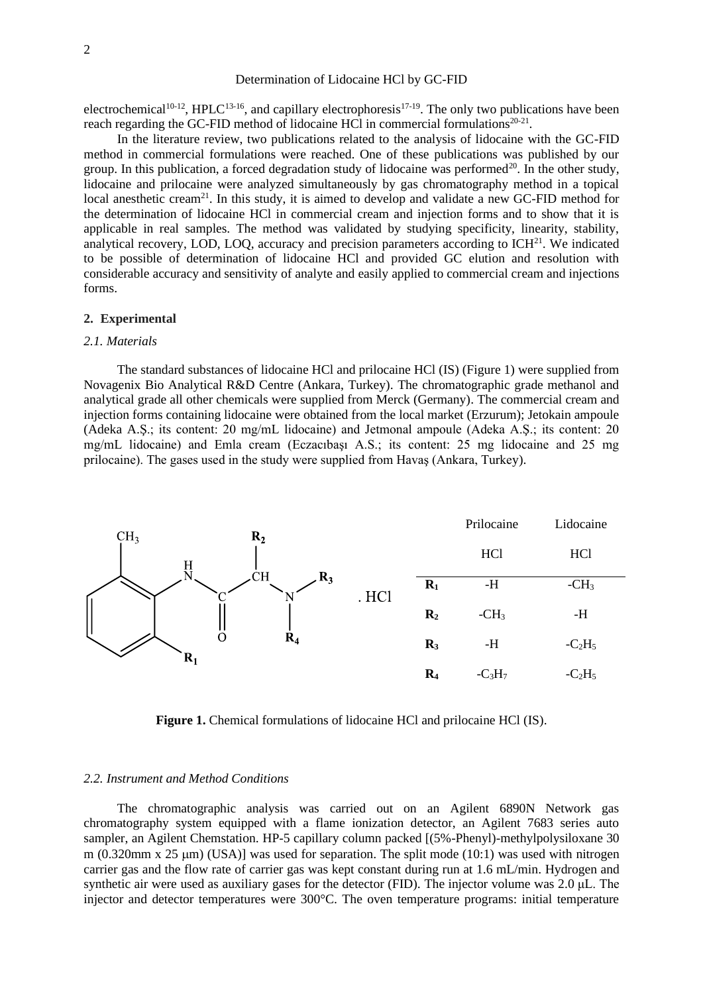## Determination of Lidocaine HCl by GC-FID

electrochemical<sup>10-12</sup>, HPLC<sup>13-16</sup>, and capillary electrophoresis<sup>17-19</sup>. The only two publications have been reach regarding the GC-FID method of lidocaine HCl in commercial formulations<sup>20-21</sup>.

In the literature review, two publications related to the analysis of lidocaine with the GC-FID method in commercial formulations were reached. One of these publications was published by our group. In this publication, a forced degradation study of lidocaine was performed<sup>20</sup>. In the other study, lidocaine and prilocaine were analyzed simultaneously by gas chromatography method in a topical local anesthetic cream<sup>21</sup>. In this study, it is aimed to develop and validate a new GC-FID method for the determination of lidocaine HCl in commercial cream and injection forms and to show that it is applicable in real samples. The method was validated by studying specificity, linearity, stability, analytical recovery, LOD, LOQ, accuracy and precision parameters according to  $ICH<sup>21</sup>$ . We indicated to be possible of determination of lidocaine HCl and provided GC elution and resolution with considerable accuracy and sensitivity of analyte and easily applied to commercial cream and injections forms.

# **2. Experimental**

#### *2.1. Materials*

The standard substances of lidocaine HCl and prilocaine HCl (IS) (Figure 1) were supplied from Novagenix Bio Analytical R&D Centre (Ankara, Turkey). The chromatographic grade methanol and analytical grade all other chemicals were supplied from Merck (Germany). The commercial cream and injection forms containing lidocaine were obtained from the local market (Erzurum); Jetokain ampoule (Adeka A.Ş.; its content: 20 mg/mL lidocaine) and Jetmonal ampoule (Adeka A.Ş.; its content: 20 mg/mL lidocaine) and Emla cream (Eczacıbaşı A.S.; its content: 25 mg lidocaine and 25 mg prilocaine). The gases used in the study were supplied from Havaş (Ankara, Turkey).



Figure 1. Chemical formulations of lidocaine HCl and prilocaine HCl (IS).

#### *2.2. Instrument and Method Conditions*

The chromatographic analysis was carried out on an Agilent 6890N Network gas chromatography system equipped with a flame ionization detector, an Agilent 7683 series auto sampler, an Agilent Chemstation. HP-5 capillary column packed [(5%-Phenyl)-methylpolysiloxane 30 m (0.320mm x 25  $\mu$ m) (USA)] was used for separation. The split mode (10:1) was used with nitrogen carrier gas and the flow rate of carrier gas was kept constant during run at 1.6 mL/min. Hydrogen and synthetic air were used as auxiliary gases for the detector (FID). The injector volume was 2.0 μL. The injector and detector temperatures were 300°C. The oven temperature programs: initial temperature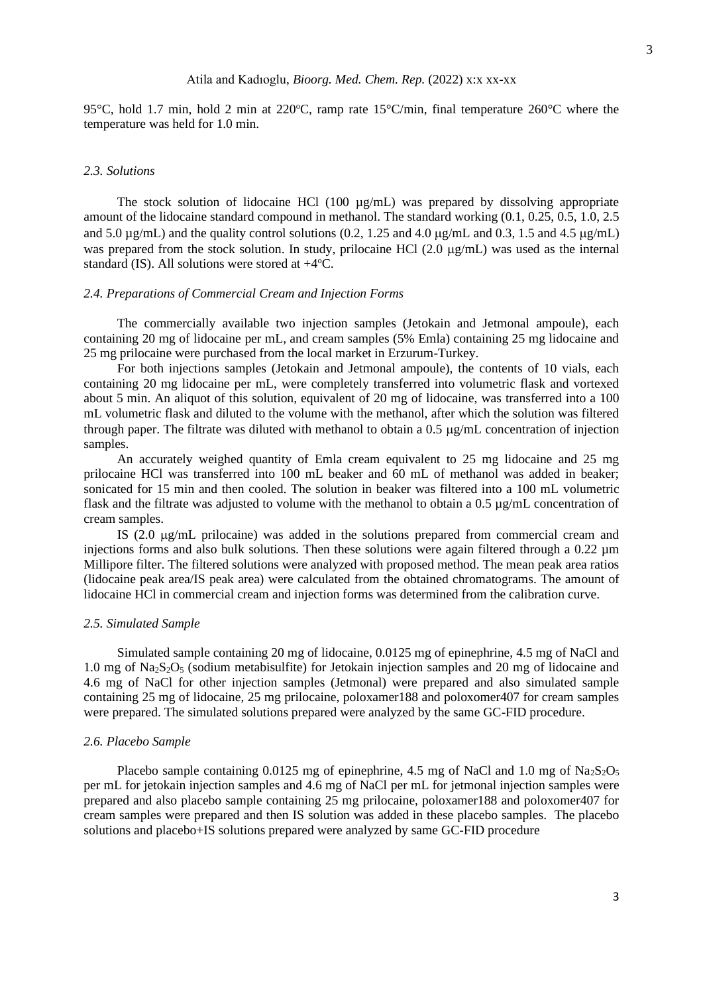### Atila and Kadıoglu, *Bioorg. Med. Chem. Rep.* (2022) x:x xx-xx

95°C, hold 1.7 min, hold 2 min at 220°C, ramp rate 15°C/min, final temperature 260°C where the temperature was held for 1.0 min.

### *2.3. Solutions*

The stock solution of lidocaine HCl  $(100 \text{ µg/mL})$  was prepared by dissolving appropriate amount of the lidocaine standard compound in methanol. The standard working (0.1, 0.25, 0.5, 1.0, 2.5 and 5.0  $\mu$ g/mL) and the quality control solutions (0.2, 1.25 and 4.0  $\mu$ g/mL and 0.3, 1.5 and 4.5  $\mu$ g/mL) was prepared from the stock solution. In study, prilocaine HCl  $(2.0 \mu g/mL)$  was used as the internal standard (IS). All solutions were stored at  $+4$ <sup>o</sup>C.

#### *2.4. Preparations of Commercial Cream and Injection Forms*

The commercially available two injection samples (Jetokain and Jetmonal ampoule), each containing 20 mg of lidocaine per mL, and cream samples (5% Emla) containing 25 mg lidocaine and 25 mg prilocaine were purchased from the local market in Erzurum-Turkey.

For both injections samples (Jetokain and Jetmonal ampoule), the contents of 10 vials, each containing 20 mg lidocaine per mL, were completely transferred into volumetric flask and vortexed about 5 min. An aliquot of this solution, equivalent of 20 mg of lidocaine, was transferred into a 100 mL volumetric flask and diluted to the volume with the methanol, after which the solution was filtered through paper. The filtrate was diluted with methanol to obtain a  $0.5 \mu g/mL$  concentration of injection samples.

An accurately weighed quantity of Emla cream equivalent to 25 mg lidocaine and 25 mg prilocaine HCl was transferred into 100 mL beaker and 60 mL of methanol was added in beaker; sonicated for 15 min and then cooled. The solution in beaker was filtered into a 100 mL volumetric flask and the filtrate was adjusted to volume with the methanol to obtain a 0.5 µg/mL concentration of cream samples.

IS  $(2.0 \mu g/mL)$  prilocaine) was added in the solutions prepared from commercial cream and injections forms and also bulk solutions. Then these solutions were again filtered through a 0.22 µm Millipore filter. The filtered solutions were analyzed with proposed method. The mean peak area ratios (lidocaine peak area/IS peak area) were calculated from the obtained chromatograms. The amount of lidocaine HCl in commercial cream and injection forms was determined from the calibration curve.

#### *2.5. Simulated Sample*

Simulated sample containing 20 mg of lidocaine, 0.0125 mg of epinephrine, 4.5 mg of NaCl and 1.0 mg of Na<sub>2</sub>S<sub>2</sub>O<sub>5</sub> (sodium metabisulfite) for Jetokain injection samples and 20 mg of lidocaine and 4.6 mg of NaCl for other injection samples (Jetmonal) were prepared and also simulated sample containing 25 mg of lidocaine, 25 mg prilocaine, poloxamer188 and poloxomer407 for cream samples were prepared. The simulated solutions prepared were analyzed by the same GC-FID procedure.

### *2.6. Placebo Sample*

Placebo sample containing 0.0125 mg of epinephrine, 4.5 mg of NaCl and 1.0 mg of Na<sub>2</sub>S<sub>2</sub>O<sub>5</sub> per mL for jetokain injection samples and 4.6 mg of NaCl per mL for jetmonal injection samples were prepared and also placebo sample containing 25 mg prilocaine, poloxamer188 and poloxomer407 for cream samples were prepared and then IS solution was added in these placebo samples. The placebo solutions and placebo+IS solutions prepared were analyzed by same GC-FID procedure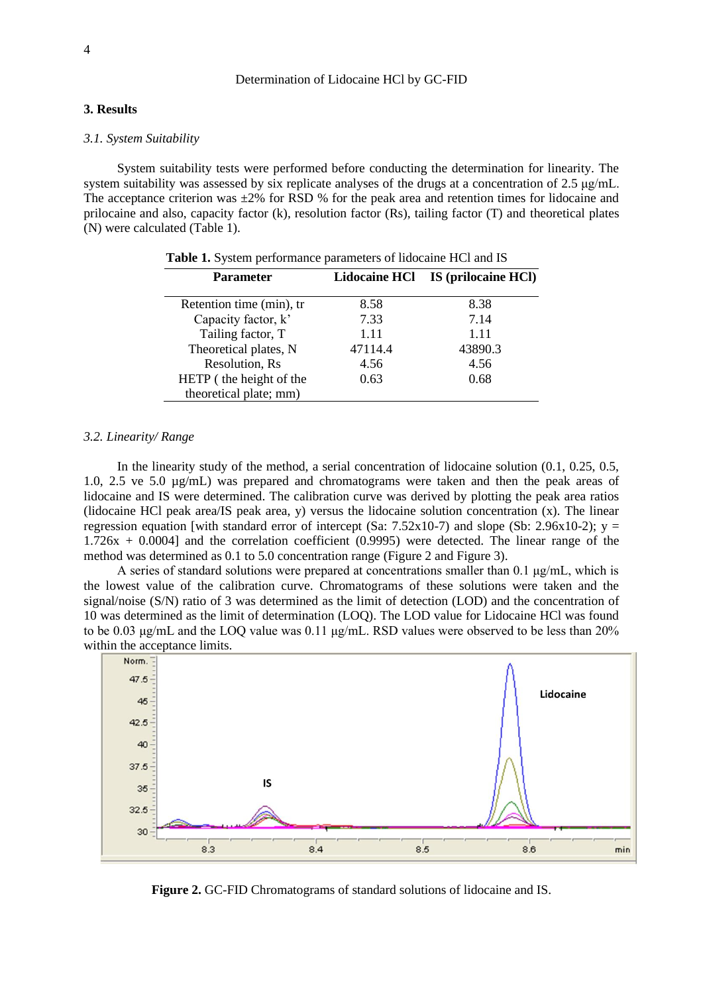## **3. Results**

### *3.1. System Suitability*

System suitability tests were performed before conducting the determination for linearity. The system suitability was assessed by six replicate analyses of the drugs at a concentration of 2.5 μg/mL. The acceptance criterion was  $\pm 2\%$  for RSD % for the peak area and retention times for lidocaine and prilocaine and also, capacity factor (k), resolution factor (Rs), tailing factor (T) and theoretical plates (N) were calculated (Table 1).

| <b>Parameter</b>         |         | Lidocaine HCl IS (prilocaine HCl) |
|--------------------------|---------|-----------------------------------|
| Retention time (min), tr | 8.58    | 8.38                              |
| Capacity factor, k'      | 7.33    | 7.14                              |
| Tailing factor, T        | 1.11    | 1.11                              |
| Theoretical plates, N    | 47114.4 | 43890.3                           |
| Resolution, Rs           | 4.56    | 4.56                              |
| HETP (the height of the  | 0.63    | 0.68                              |
| theoretical plate; mm)   |         |                                   |

 **Table 1.** System performance parameters of lidocaine HCl and IS

## *3.2. Linearity/ Range*

In the linearity study of the method, a serial concentration of lidocaine solution (0.1, 0.25, 0.5, 1.0, 2.5 ve 5.0 µg/mL) was prepared and chromatograms were taken and then the peak areas of lidocaine and IS were determined. The calibration curve was derived by plotting the peak area ratios (lidocaine HCl peak area/IS peak area, y) versus the lidocaine solution concentration (x). The linear regression equation [with standard error of intercept (Sa: 7.52x10-7) and slope (Sb: 2.96x10-2);  $y =$ 1.726x + 0.0004] and the correlation coefficient (0.9995) were detected. The linear range of the method was determined as 0.1 to 5.0 concentration range (Figure 2 and Figure 3).

A series of standard solutions were prepared at concentrations smaller than 0.1 μg/mL, which is the lowest value of the calibration curve. Chromatograms of these solutions were taken and the signal/noise (S/N) ratio of 3 was determined as the limit of detection (LOD) and the concentration of 10 was determined as the limit of determination (LOQ). The LOD value for Lidocaine HCl was found to be 0.03 μg/mL and the LOQ value was 0.11 μg/mL. RSD values were observed to be less than 20% within the acceptance limits.



**Figure 2.** GC-FID Chromatograms of standard solutions of lidocaine and IS.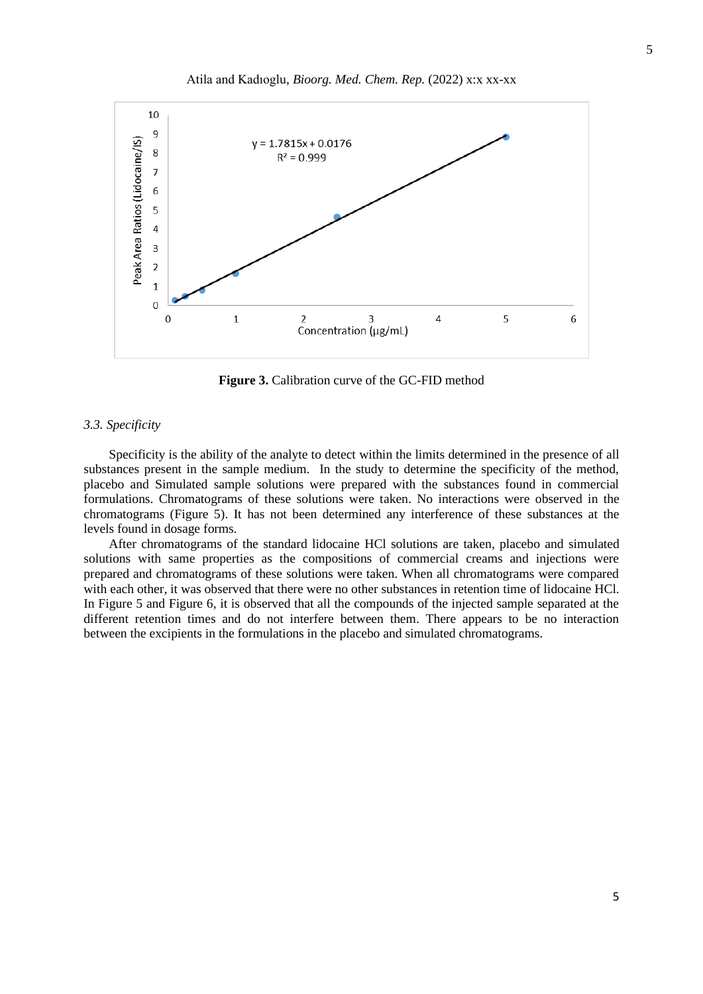

**Figure 3.** Calibration curve of the GC-FID method

#### *3.3. Specificity*

Specificity is the ability of the analyte to detect within the limits determined in the presence of all substances present in the sample medium. In the study to determine the specificity of the method, placebo and Simulated sample solutions were prepared with the substances found in commercial formulations. Chromatograms of these solutions were taken. No interactions were observed in the chromatograms (Figure 5). It has not been determined any interference of these substances at the levels found in dosage forms.

After chromatograms of the standard lidocaine HCl solutions are taken, placebo and simulated solutions with same properties as the compositions of commercial creams and injections were prepared and chromatograms of these solutions were taken. When all chromatograms were compared with each other, it was observed that there were no other substances in retention time of lidocaine HCl. In Figure 5 and Figure 6, it is observed that all the compounds of the injected sample separated at the different retention times and do not interfere between them. There appears to be no interaction between the excipients in the formulations in the placebo and simulated chromatograms.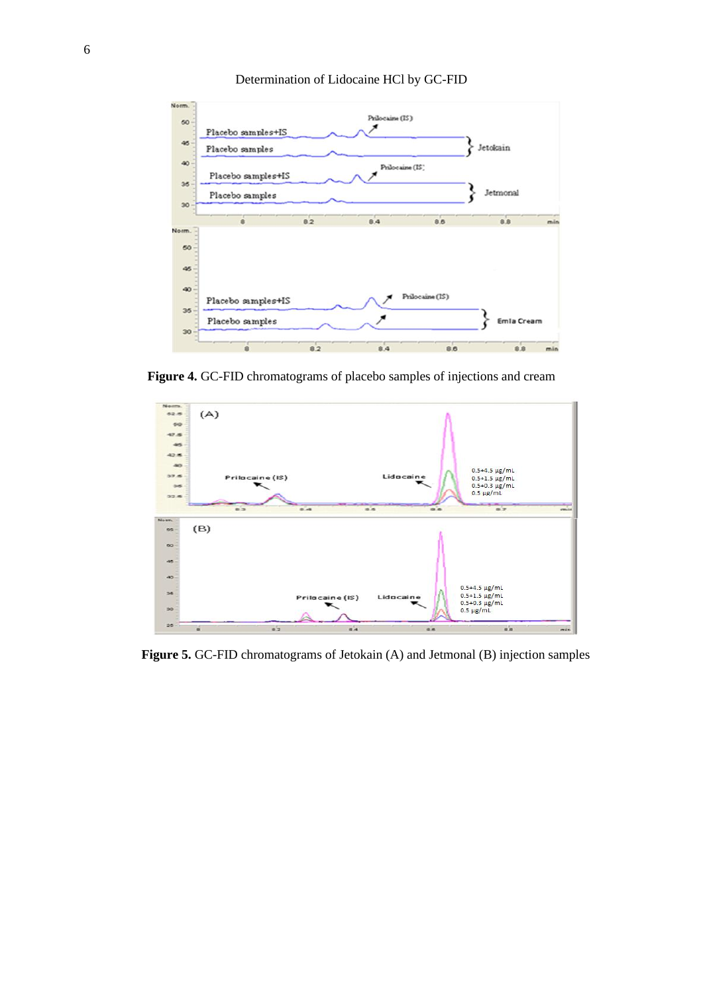

Determination of Lidocaine HCl by GC-FID

**Figure 4.** GC-FID chromatograms of placebo samples of injections and cream



**Figure 5.** GC-FID chromatograms of Jetokain (A) and Jetmonal (B) injection samples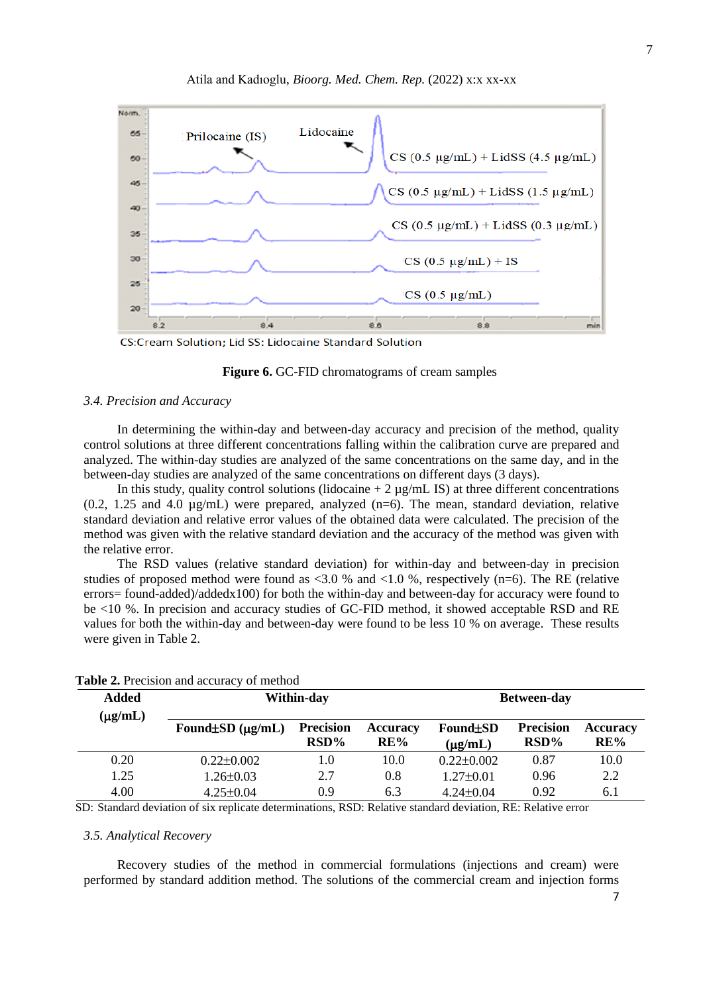

CS:Cream Solution; Lid SS: Lidocaine Standard Solution

#### **Figure 6.** GC-FID chromatograms of cream samples

#### *3.4. Precision and Accuracy*

In determining the within-day and between-day accuracy and precision of the method, quality control solutions at three different concentrations falling within the calibration curve are prepared and analyzed. The within-day studies are analyzed of the same concentrations on the same day, and in the between-day studies are analyzed of the same concentrations on different days (3 days).

In this study, quality control solutions (lidocaine  $+ 2 \mu g/mL$  IS) at three different concentrations  $(0.2, 1.25 \text{ and } 4.0 \text{ µg/mL})$  were prepared, analyzed  $(n=6)$ . The mean, standard deviation, relative standard deviation and relative error values of the obtained data were calculated. The precision of the method was given with the relative standard deviation and the accuracy of the method was given with the relative error.

The RSD values (relative standard deviation) for within-day and between-day in precision studies of proposed method were found as  $\langle 3.0 \rangle$  and  $\langle 1.0 \rangle$ %, respectively (n=6). The RE (relative errors= found-added)/addedx100) for both the within-day and between-day for accuracy were found to be <10 %. In precision and accuracy studies of GC-FID method, it showed acceptable RSD and RE values for both the within-day and between-day were found to be less 10 % on average. These results were given in Table 2.

| <b>Added</b><br>$(\mu g/mL)$ |                              | Within-day                  | <b>Between-day</b> |                          |                             |                        |
|------------------------------|------------------------------|-----------------------------|--------------------|--------------------------|-----------------------------|------------------------|
|                              | Found $\pm SD$ ( $\mu$ g/mL) | <b>Precision</b><br>$RSD\%$ | Accuracy<br>RE%    | Found BD<br>$(\mu g/mL)$ | <b>Precision</b><br>$RSD\%$ | <b>Accuracy</b><br>RE% |
| 0.20                         | $0.22 \pm 0.002$             | 1.0                         | 10.0               | $0.22 \pm 0.002$         | 0.87                        | 10.0                   |
| 1.25                         | $1.26 \pm 0.03$              | 2.7                         | 0.8                | $1.27 \pm 0.01$          | 0.96                        | 2.2                    |
| 4.00                         | $4.25 \pm 0.04$              | 0.9                         | 6.3                | $4.24 \pm 0.04$          | 0.92                        | 6.1                    |

## **Table 2.** Precision and accuracy of method

SD: Standard deviation of six replicate determinations, RSD: Relative standard deviation, RE: Relative error

## *3.5. Analytical Recovery*

Recovery studies of the method in commercial formulations (injections and cream) were performed by standard addition method. The solutions of the commercial cream and injection forms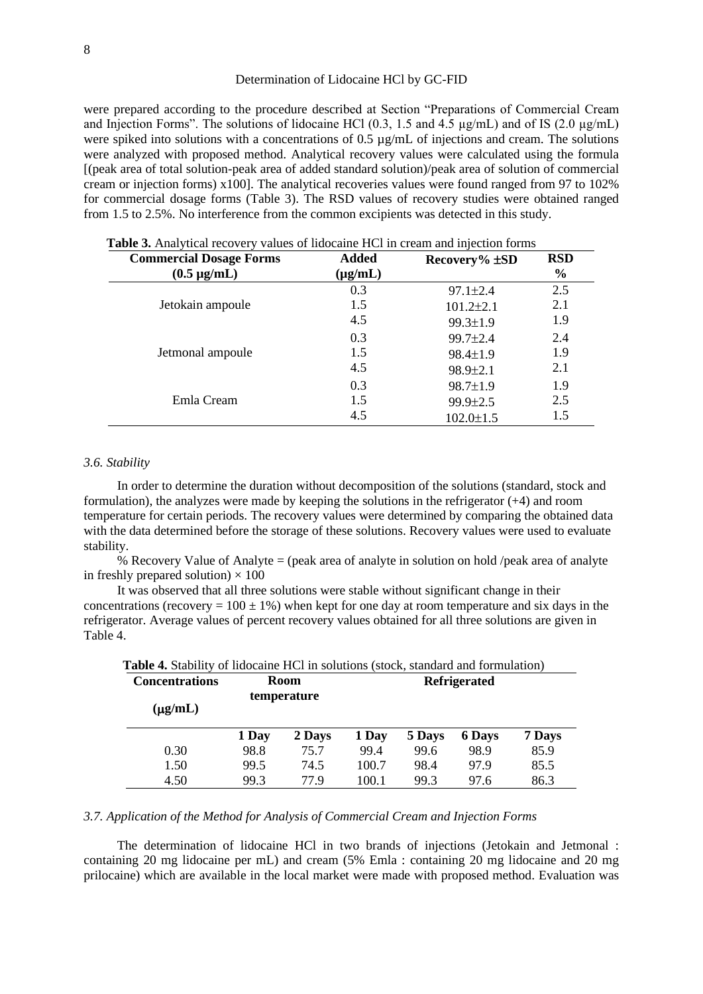#### Determination of Lidocaine HCl by GC-FID

were prepared according to the procedure described at Section "Preparations of Commercial Cream and Injection Forms". The solutions of lidocaine HCl (0.3, 1.5 and 4.5 µg/mL) and of IS (2.0 µg/mL) were spiked into solutions with a concentrations of 0.5  $\mu$ g/mL of injections and cream. The solutions were analyzed with proposed method. Analytical recovery values were calculated using the formula [(peak area of total solution-peak area of added standard solution)/peak area of solution of commercial cream or injection forms) x100]. The analytical recoveries values were found ranged from 97 to 102% for commercial dosage forms (Table 3). The RSD values of recovery studies were obtained ranged from 1.5 to 2.5%. No interference from the common excipients was detected in this study.

| <b>Commercial Dosage Forms</b> | <b>Added</b> | Recovery $%$ $\pm SD$ | <b>RSD</b>    |
|--------------------------------|--------------|-----------------------|---------------|
| $(0.5 \mu g/mL)$               | $(\mu g/mL)$ |                       | $\frac{0}{0}$ |
|                                | 0.3          | $97.1 \pm 2.4$        | 2.5           |
| Jetokain ampoule               | 1.5          | $101.2 \pm 2.1$       | 2.1           |
|                                | 4.5          | 99.3±1.9              | 1.9           |
|                                | 0.3          | $99.7 \pm 2.4$        | 2.4           |
| Jetmonal ampoule               | 1.5          | $98.4 \pm 1.9$        | 1.9           |
|                                | 4.5          | $98.9 \pm 2.1$        | 2.1           |
|                                | 0.3          | $98.7 \pm 1.9$        | 1.9           |
| Emla Cream                     | 1.5          | 99.9±2.5              | 2.5           |
|                                | 4.5          | $102.0 \pm 1.5$       | 1.5           |

 **Table 3.** Analytical recovery values of lidocaine HCl in cream and injection forms

#### *3.6. Stability*

In order to determine the duration without decomposition of the solutions (standard, stock and formulation), the analyzes were made by keeping the solutions in the refrigerator (+4) and room temperature for certain periods. The recovery values were determined by comparing the obtained data with the data determined before the storage of these solutions. Recovery values were used to evaluate stability.

% Recovery Value of Analyte = (peak area of analyte in solution on hold /peak area of analyte in freshly prepared solution)  $\times$  100

It was observed that all three solutions were stable without significant change in their concentrations (recovery =  $100 \pm 1\%$ ) when kept for one day at room temperature and six days in the refrigerator. Average values of percent recovery values obtained for all three solutions are given in Table 4.

| <b>Table 4.</b> Stability of huocaine HCT in solutions (stock, standard and formulation) |             |             |                     |        |               |        |  |
|------------------------------------------------------------------------------------------|-------------|-------------|---------------------|--------|---------------|--------|--|
| <b>Concentrations</b>                                                                    | <b>Room</b> |             | <b>Refrigerated</b> |        |               |        |  |
| $(\mu g/mL)$                                                                             |             | temperature |                     |        |               |        |  |
|                                                                                          | 1 Day       | 2 Days      | 1 Day               | 5 Days | <b>6 Days</b> | 7 Days |  |
| 0.30                                                                                     | 98.8        | 75.7        | 99.4                | 99.6   | 98.9          | 85.9   |  |
| 1.50                                                                                     | 99.5        | 74.5        | 100.7               | 98.4   | 97.9          | 85.5   |  |
| 4.50                                                                                     | 99.3        | 77.9        | 100.1               | 99.3   | 97.6          | 86.3   |  |

|  |  | <b>Table 4.</b> Stability of lidocaine HCl in solutions (stock, standard and formulation) |  |  |  |
|--|--|-------------------------------------------------------------------------------------------|--|--|--|
|  |  |                                                                                           |  |  |  |

# *3.7. Application of the Method for Analysis of Commercial Cream and Injection Forms*

The determination of lidocaine HCl in two brands of injections (Jetokain and Jetmonal : containing 20 mg lidocaine per mL) and cream (5% Emla : containing 20 mg lidocaine and 20 mg prilocaine) which are available in the local market were made with proposed method. Evaluation was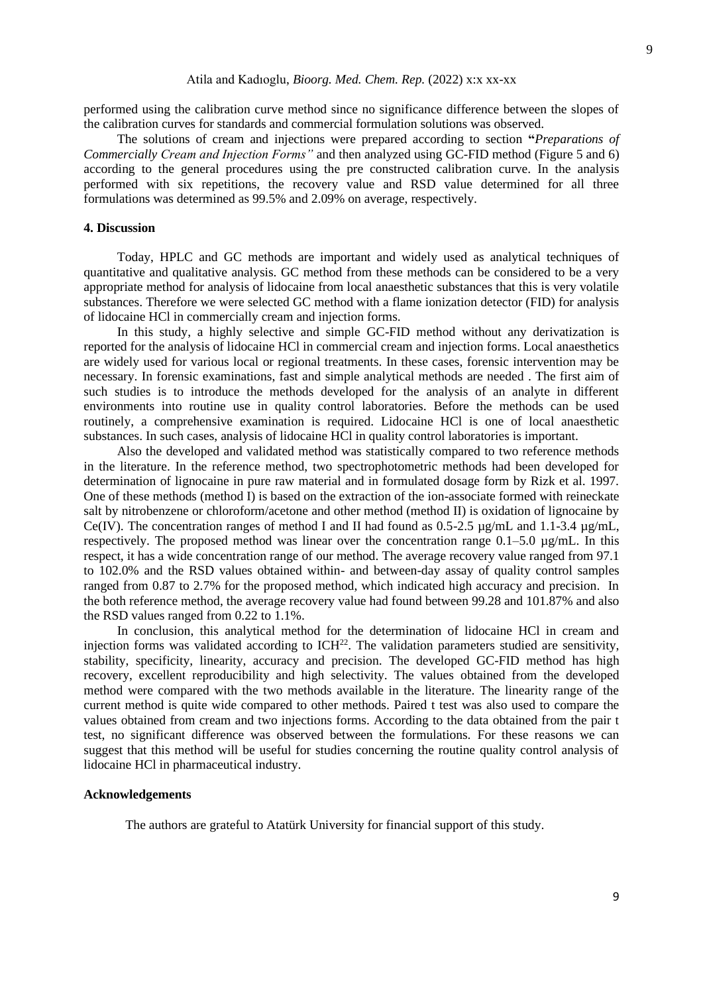#### Atila and Kadıoglu, *Bioorg. Med. Chem. Rep.* (2022) x:x xx-xx

performed using the calibration curve method since no significance difference between the slopes of the calibration curves for standards and commercial formulation solutions was observed.

The solutions of cream and injections were prepared according to section **"***Preparations of Commercially Cream and Injection Forms"* and then analyzed using GC-FID method (Figure 5 and 6) according to the general procedures using the pre constructed calibration curve. In the analysis performed with six repetitions, the recovery value and RSD value determined for all three formulations was determined as 99.5% and 2.09% on average, respectively.

#### **4. Discussion**

Today, HPLC and GC methods are important and widely used as analytical techniques of quantitative and qualitative analysis. GC method from these methods can be considered to be a very appropriate method for analysis of lidocaine from local anaesthetic substances that this is very volatile substances. Therefore we were selected GC method with a flame ionization detector (FID) for analysis of lidocaine HCl in commercially cream and injection forms.

In this study, a highly selective and simple GC-FID method without any derivatization is reported for the analysis of lidocaine HCl in commercial cream and injection forms. Local anaesthetics are widely used for various local or regional treatments. In these cases, forensic intervention may be necessary. In forensic examinations, fast and simple analytical methods are needed . The first aim of such studies is to introduce the methods developed for the analysis of an analyte in different environments into routine use in quality control laboratories. Before the methods can be used routinely, a comprehensive examination is required. Lidocaine HCl is one of local anaesthetic substances. In such cases, analysis of lidocaine HCl in quality control laboratories is important.

Also the developed and validated method was statistically compared to two reference methods in the literature. In the reference method, two spectrophotometric methods had been developed for determination of lignocaine in pure raw material and in formulated dosage form by Rizk et al. 1997. One of these methods (method I) is based on the extraction of the ion-associate formed with reineckate salt by nitrobenzene or chloroform/acetone and other method (method II) is oxidation of lignocaine by Ce(IV). The concentration ranges of method I and II had found as  $0.5$ - $2.5 \mu$ g/mL and 1.1-3.4  $\mu$ g/mL, respectively. The proposed method was linear over the concentration range  $0.1-5.0 \mu g/mL$ . In this respect, it has a wide concentration range of our method. The average recovery value ranged from 97.1 to 102.0% and the RSD values obtained within- and between-day assay of quality control samples ranged from 0.87 to 2.7% for the proposed method, which indicated high accuracy and precision. In the both reference method, the average recovery value had found between 99.28 and 101.87% and also the RSD values ranged from 0.22 to 1.1%.

In conclusion, this analytical method for the determination of lidocaine HCl in cream and injection forms was validated according to  $\text{ICH}^{22}$ . The validation parameters studied are sensitivity, stability, specificity, linearity, accuracy and precision. The developed GC-FID method has high recovery, excellent reproducibility and high selectivity. The values obtained from the developed method were compared with the two methods available in the literature. The linearity range of the current method is quite wide compared to other methods. Paired t test was also used to compare the values obtained from cream and two injections forms. According to the data obtained from the pair t test, no significant difference was observed between the formulations. For these reasons we can suggest that this method will be useful for studies concerning the routine quality control analysis of lidocaine HCl in pharmaceutical industry.

#### **Acknowledgements**

The authors are grateful to Atatürk University for financial support of this study.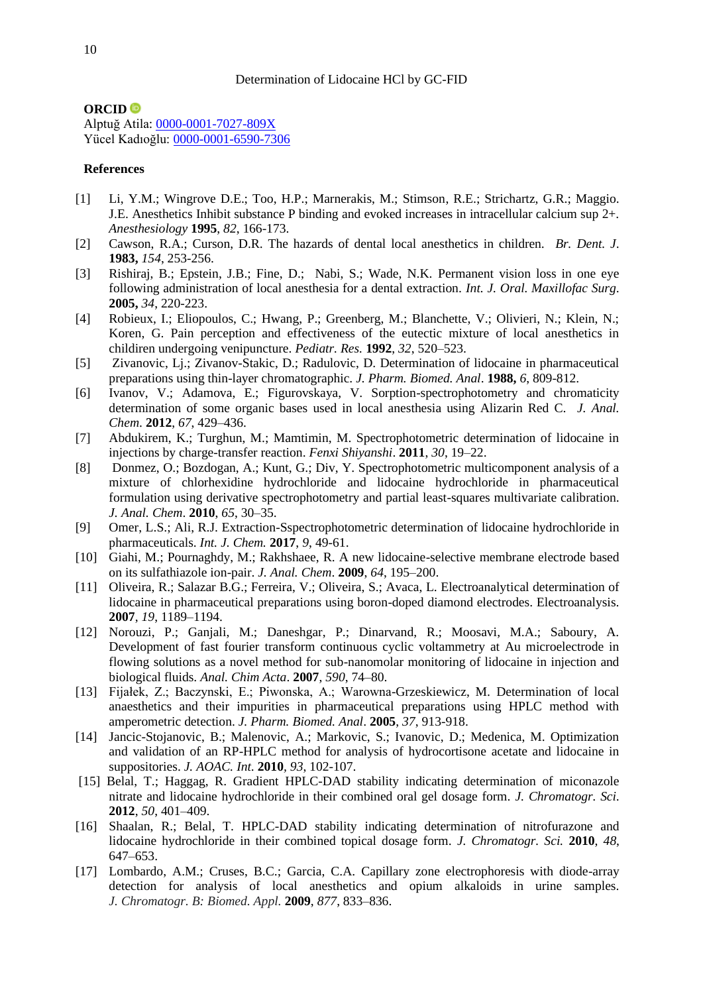# **ORCID**

Alptuğ Atila: [0000-0001-7027-809X](https://orcid.org/0000-0001-7027-809X) Yücel Kadıoğlu: [0000-0001-6590-7306](https://orcid.org/0000-0001-6590-7306)

## **References**

- [1] Li, Y.M.; Wingrove D.E.; Too, H.P.; Marnerakis, M.; Stimson, R.E.; Strichartz, G.R.; Maggio. J.E. Anesthetics Inhibit substance P binding and evoked increases in intracellular calcium sup 2+. *Anesthesiology* **1995**, *82*, 166-173.
- [2] Cawson, R.A.; Curson, D.R. The hazards of dental local anesthetics in children. *Br. Dent. J*. **1983,** *154*, 253-256.
- [3] Rishiraj, B.; Epstein, J.B.; Fine, D.; Nabi, S.; Wade, N.K. Permanent vision loss in one eye following administration of local anesthesia for a dental extraction. *Int. J. Oral. Maxillofac Surg*. **2005,** *34*, 220-223.
- [4] Robieux, I.; Eliopoulos, C.; Hwang, P.; Greenberg, M.; Blanchette, V.; Olivieri, N.; Klein, N.; Koren, G. Pain perception and effectiveness of the eutectic mixture of local anesthetics in childiren undergoing venipuncture. *Pediatr. Res.* **1992**, *32*, 520–523.
- [5] Zivanovic, Lj.; Zivanov-Stakic, D.; Radulovic, D. Determination of lidocaine in pharmaceutical preparations using thin-layer chromatographic. *J. Pharm. Biomed. Anal*. **1988,** *6*, 809-812.
- [6] Ivanov, V.; Adamova, E.; Figurovskaya, V. Sorption-spectrophotometry and chromaticity determination of some organic bases used in local anesthesia using Alizarin Red C. *J. Anal. Chem*. **2012**, *67*, 429–436.
- [7] Abdukirem, K.; Turghun, M.; Mamtimin, M. Spectrophotometric determination of lidocaine in injections by charge-transfer reaction. *Fenxi Shiyanshi*. **2011**, *30*, 19–22.
- [8] Donmez, O.; Bozdogan, A.; Kunt, G.; Div, Y. Spectrophotometric multicomponent analysis of a mixture of chlorhexidine hydrochloride and lidocaine hydrochloride in pharmaceutical formulation using derivative spectrophotometry and partial least-squares multivariate calibration. *J. Anal. Chem*. **2010**, *65*, 30–35.
- [9] Omer, L.S.; Ali, R.J. Extraction-Sspectrophotometric determination of lidocaine hydrochloride in pharmaceuticals. *Int. J. Chem.* **2017**, *9*, 49-61.
- [10] Giahi, M.; Pournaghdy, M.; Rakhshaee, R. A new lidocaine-selective membrane electrode based on its sulfathiazole ion-pair. *J. Anal. Chem*. **2009**, *64*, 195–200.
- [11] Oliveira, R.; Salazar B.G.; Ferreira, V.; Oliveira, S.; Avaca, L. Electroanalytical determination of lidocaine in pharmaceutical preparations using boron-doped diamond electrodes. Electroanalysis. **2007**, *19*, 1189–1194.
- [12] Norouzi, P.; Ganjali, M.; Daneshgar, P.; Dinarvand, R.; Moosavi, M.A.; Saboury, A. Development of fast fourier transform continuous cyclic voltammetry at Au microelectrode in flowing solutions as a novel method for sub-nanomolar monitoring of lidocaine in injection and biological fluids. *Anal. Chim Acta*. **2007**, *590*, 74–80.
- [13] Fijałek, Z.; Baczynski, E.; Piwonska, A.; Warowna-Grzeskiewicz, M. Determination of local anaesthetics and their impurities in pharmaceutical preparations using HPLC method with amperometric detection. *J. Pharm. Biomed. Anal*. **2005**, *37*, 913-918.
- [14] Jancic-Stojanovic, B.; Malenovic, A.; Markovic, S.; Ivanovic, D.; Medenica, M. Optimization and validation of an RP-HPLC method for analysis of hydrocortisone acetate and lidocaine in suppositories. *J. AOAC. Int*. **2010***, 93*, 102-107.
- [15] Belal, T.; Haggag, R. Gradient HPLC-DAD stability indicating determination of miconazole nitrate and lidocaine hydrochloride in their combined oral gel dosage form. *J. Chromatogr. Sci*. **2012**, *50*, 401–409.
- [16] Shaalan, R.; Belal, T. HPLC-DAD stability indicating determination of nitrofurazone and lidocaine hydrochloride in their combined topical dosage form. *J. Chromatogr. Sci.* **2010**, *48*, 647–653.
- [17] Lombardo, A.M.; Cruses, B.C.; Garcia, C.A. Capillary zone electrophoresis with diode-array detection for analysis of local anesthetics and opium alkaloids in urine samples. *J. Chromatogr. B: Biomed. Appl.* **2009**, *877*, 833–836.